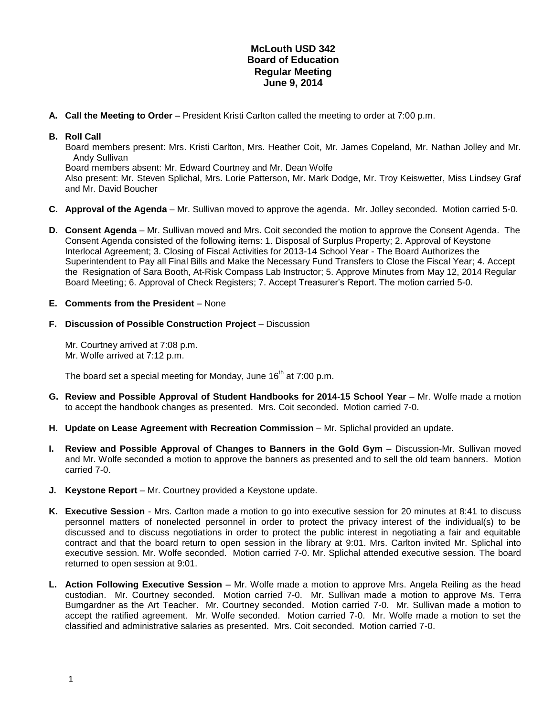## **McLouth USD 342 Board of Education Regular Meeting June 9, 2014**

**A. Call the Meeting to Order** – President Kristi Carlton called the meeting to order at 7:00 p.m.

## **B. Roll Call**

Board members present: Mrs. Kristi Carlton, Mrs. Heather Coit, Mr. James Copeland, Mr. Nathan Jolley and Mr. Andy Sullivan

Board members absent: Mr. Edward Courtney and Mr. Dean Wolfe

Also present: Mr. Steven Splichal, Mrs. Lorie Patterson, Mr. Mark Dodge, Mr. Troy Keiswetter, Miss Lindsey Graf and Mr. David Boucher

- **C. Approval of the Agenda** Mr. Sullivan moved to approve the agenda. Mr. Jolley seconded. Motion carried 5-0.
- **D. Consent Agenda** Mr. Sullivan moved and Mrs. Coit seconded the motion to approve the Consent Agenda. The Consent Agenda consisted of the following items: 1. Disposal of Surplus Property; 2. Approval of Keystone Interlocal Agreement; 3. Closing of Fiscal Activities for 2013-14 School Year - The Board Authorizes the Superintendent to Pay all Final Bills and Make the Necessary Fund Transfers to Close the Fiscal Year; 4. Accept the Resignation of Sara Booth, At-Risk Compass Lab Instructor; 5. Approve Minutes from May 12, 2014 Regular Board Meeting; 6. Approval of Check Registers; 7. Accept Treasurer's Report. The motion carried 5-0.
- **E. Comments from the President** None
- **F. Discussion of Possible Construction Project** Discussion

Mr. Courtney arrived at 7:08 p.m. Mr. Wolfe arrived at 7:12 p.m.

The board set a special meeting for Monday, June  $16<sup>th</sup>$  at 7:00 p.m.

- **G. Review and Possible Approval of Student Handbooks for 2014-15 School Year** Mr. Wolfe made a motion to accept the handbook changes as presented. Mrs. Coit seconded. Motion carried 7-0.
- **H. Update on Lease Agreement with Recreation Commission** Mr. Splichal provided an update.
- **I. Review and Possible Approval of Changes to Banners in the Gold Gym** Discussion-Mr. Sullivan moved and Mr. Wolfe seconded a motion to approve the banners as presented and to sell the old team banners. Motion carried 7-0.
- **J. Keystone Report** Mr. Courtney provided a Keystone update.
- **K. Executive Session** Mrs. Carlton made a motion to go into executive session for 20 minutes at 8:41 to discuss personnel matters of nonelected personnel in order to protect the privacy interest of the individual(s) to be discussed and to discuss negotiations in order to protect the public interest in negotiating a fair and equitable contract and that the board return to open session in the library at 9:01. Mrs. Carlton invited Mr. Splichal into executive session. Mr. Wolfe seconded. Motion carried 7-0. Mr. Splichal attended executive session. The board returned to open session at 9:01.
- **L. Action Following Executive Session** Mr. Wolfe made a motion to approve Mrs. Angela Reiling as the head custodian. Mr. Courtney seconded. Motion carried 7-0. Mr. Sullivan made a motion to approve Ms. Terra Bumgardner as the Art Teacher. Mr. Courtney seconded. Motion carried 7-0. Mr. Sullivan made a motion to accept the ratified agreement. Mr. Wolfe seconded. Motion carried 7-0. Mr. Wolfe made a motion to set the classified and administrative salaries as presented. Mrs. Coit seconded. Motion carried 7-0.